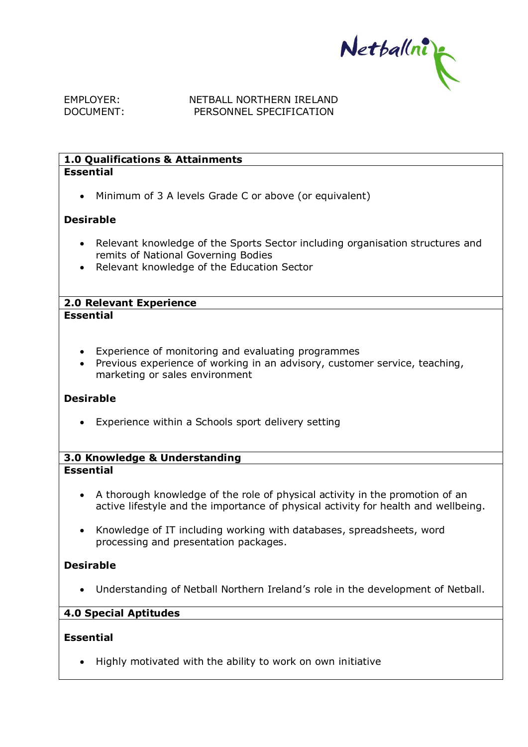Netballni

### EMPLOYER: NETBALL NORTHERN IRELAND DOCUMENT: PERSONNEL SPECIFICATION

### **1.0 Qualifications & Attainments Essential**

• Minimum of 3 A levels Grade C or above (or equivalent)

## **Desirable**

- Relevant knowledge of the Sports Sector including organisation structures and remits of National Governing Bodies
- Relevant knowledge of the Education Sector

#### **2.0 Relevant Experience Essential**

- - Experience of monitoring and evaluating programmes
	- Previous experience of working in an advisory, customer service, teaching, marketing or sales environment

### **Desirable**

• Experience within a Schools sport delivery setting

### **3.0 Knowledge & Understanding Essential**

- A thorough knowledge of the role of physical activity in the promotion of an active lifestyle and the importance of physical activity for health and wellbeing.
- Knowledge of IT including working with databases, spreadsheets, word processing and presentation packages.

# **Desirable**

• Understanding of Netball Northern Ireland's role in the development of Netball.

# **4.0 Special Aptitudes**

### **Essential**

• Highly motivated with the ability to work on own initiative